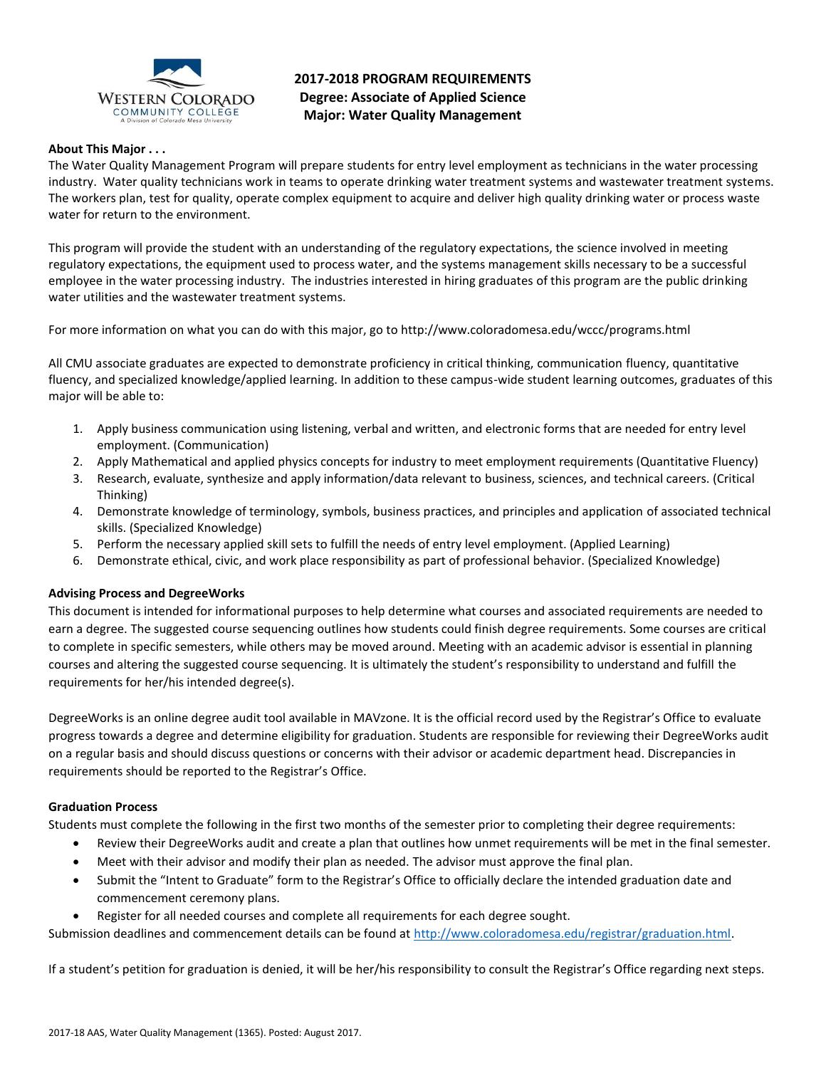

# **2017-2018 PROGRAM REQUIREMENTS Degree: Associate of Applied Science Major: Water Quality Management**

## **About This Major . . .**

The Water Quality Management Program will prepare students for entry level employment as technicians in the water processing industry. Water quality technicians work in teams to operate drinking water treatment systems and wastewater treatment systems. The workers plan, test for quality, operate complex equipment to acquire and deliver high quality drinking water or process waste water for return to the environment.

This program will provide the student with an understanding of the regulatory expectations, the science involved in meeting regulatory expectations, the equipment used to process water, and the systems management skills necessary to be a successful employee in the water processing industry. The industries interested in hiring graduates of this program are the public drinking water utilities and the wastewater treatment systems.

For more information on what you can do with this major, go to http://www.coloradomesa.edu/wccc/programs.html

All CMU associate graduates are expected to demonstrate proficiency in critical thinking, communication fluency, quantitative fluency, and specialized knowledge/applied learning. In addition to these campus-wide student learning outcomes, graduates of this major will be able to:

- 1. Apply business communication using listening, verbal and written, and electronic forms that are needed for entry level employment. (Communication)
- 2. Apply Mathematical and applied physics concepts for industry to meet employment requirements (Quantitative Fluency)
- 3. Research, evaluate, synthesize and apply information/data relevant to business, sciences, and technical careers. (Critical Thinking)
- 4. Demonstrate knowledge of terminology, symbols, business practices, and principles and application of associated technical skills. (Specialized Knowledge)
- 5. Perform the necessary applied skill sets to fulfill the needs of entry level employment. (Applied Learning)
- 6. Demonstrate ethical, civic, and work place responsibility as part of professional behavior. (Specialized Knowledge)

# **Advising Process and DegreeWorks**

This document is intended for informational purposes to help determine what courses and associated requirements are needed to earn a degree. The suggested course sequencing outlines how students could finish degree requirements. Some courses are critical to complete in specific semesters, while others may be moved around. Meeting with an academic advisor is essential in planning courses and altering the suggested course sequencing. It is ultimately the student's responsibility to understand and fulfill the requirements for her/his intended degree(s).

DegreeWorks is an online degree audit tool available in MAVzone. It is the official record used by the Registrar's Office to evaluate progress towards a degree and determine eligibility for graduation. Students are responsible for reviewing their DegreeWorks audit on a regular basis and should discuss questions or concerns with their advisor or academic department head. Discrepancies in requirements should be reported to the Registrar's Office.

#### **Graduation Process**

Students must complete the following in the first two months of the semester prior to completing their degree requirements:

- Review their DegreeWorks audit and create a plan that outlines how unmet requirements will be met in the final semester.
- Meet with their advisor and modify their plan as needed. The advisor must approve the final plan.
- Submit the "Intent to Graduate" form to the Registrar's Office to officially declare the intended graduation date and commencement ceremony plans.
- Register for all needed courses and complete all requirements for each degree sought.

Submission deadlines and commencement details can be found at [http://www.coloradomesa.edu/registrar/graduation.html.](http://www.coloradomesa.edu/registrar/graduation.html)

If a student's petition for graduation is denied, it will be her/his responsibility to consult the Registrar's Office regarding next steps.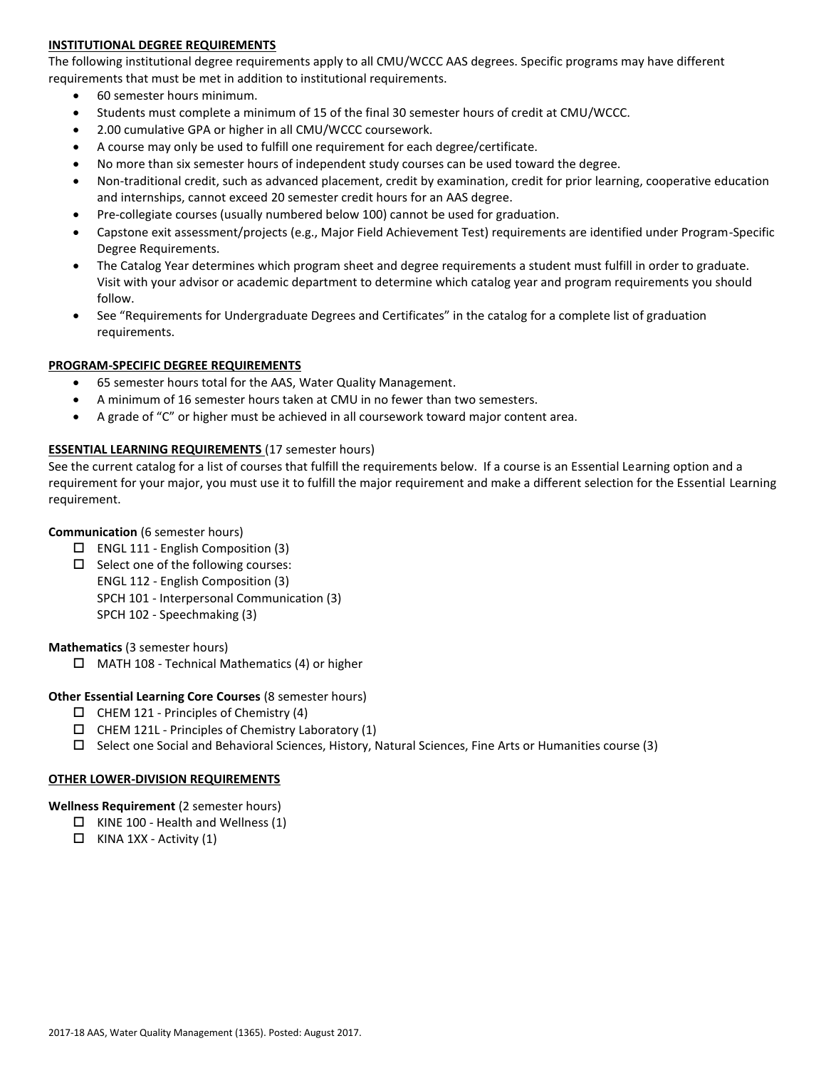# **INSTITUTIONAL DEGREE REQUIREMENTS**

The following institutional degree requirements apply to all CMU/WCCC AAS degrees. Specific programs may have different requirements that must be met in addition to institutional requirements.

- 60 semester hours minimum.
- Students must complete a minimum of 15 of the final 30 semester hours of credit at CMU/WCCC.
- 2.00 cumulative GPA or higher in all CMU/WCCC coursework.
- A course may only be used to fulfill one requirement for each degree/certificate.
- No more than six semester hours of independent study courses can be used toward the degree.
- Non-traditional credit, such as advanced placement, credit by examination, credit for prior learning, cooperative education and internships, cannot exceed 20 semester credit hours for an AAS degree.
- Pre-collegiate courses (usually numbered below 100) cannot be used for graduation.
- Capstone exit assessment/projects (e.g., Major Field Achievement Test) requirements are identified under Program-Specific Degree Requirements.
- The Catalog Year determines which program sheet and degree requirements a student must fulfill in order to graduate. Visit with your advisor or academic department to determine which catalog year and program requirements you should follow.
- See "Requirements for Undergraduate Degrees and Certificates" in the catalog for a complete list of graduation requirements.

#### **PROGRAM-SPECIFIC DEGREE REQUIREMENTS**

- 65 semester hours total for the AAS, Water Quality Management.
- A minimum of 16 semester hours taken at CMU in no fewer than two semesters.
- A grade of "C" or higher must be achieved in all coursework toward major content area.

### **ESSENTIAL LEARNING REQUIREMENTS** (17 semester hours)

See the current catalog for a list of courses that fulfill the requirements below. If a course is an Essential Learning option and a requirement for your major, you must use it to fulfill the major requirement and make a different selection for the Essential Learning requirement.

## **Communication** (6 semester hours)

- $\Box$  ENGL 111 English Composition (3)
- $\Box$  Select one of the following courses: ENGL 112 - English Composition (3) SPCH 101 - Interpersonal Communication (3) SPCH 102 - Speechmaking (3)

#### **Mathematics** (3 semester hours)

 $\Box$  MATH 108 - Technical Mathematics (4) or higher

#### **Other Essential Learning Core Courses** (8 semester hours)

- $\Box$  CHEM 121 Principles of Chemistry (4)
- $\Box$  CHEM 121L Principles of Chemistry Laboratory (1)
- $\Box$  Select one Social and Behavioral Sciences, History, Natural Sciences, Fine Arts or Humanities course (3)

#### **OTHER LOWER-DIVISION REQUIREMENTS**

**Wellness Requirement** (2 semester hours)

- $\Box$  KINE 100 Health and Wellness (1)
- $\Box$  KINA 1XX Activity (1)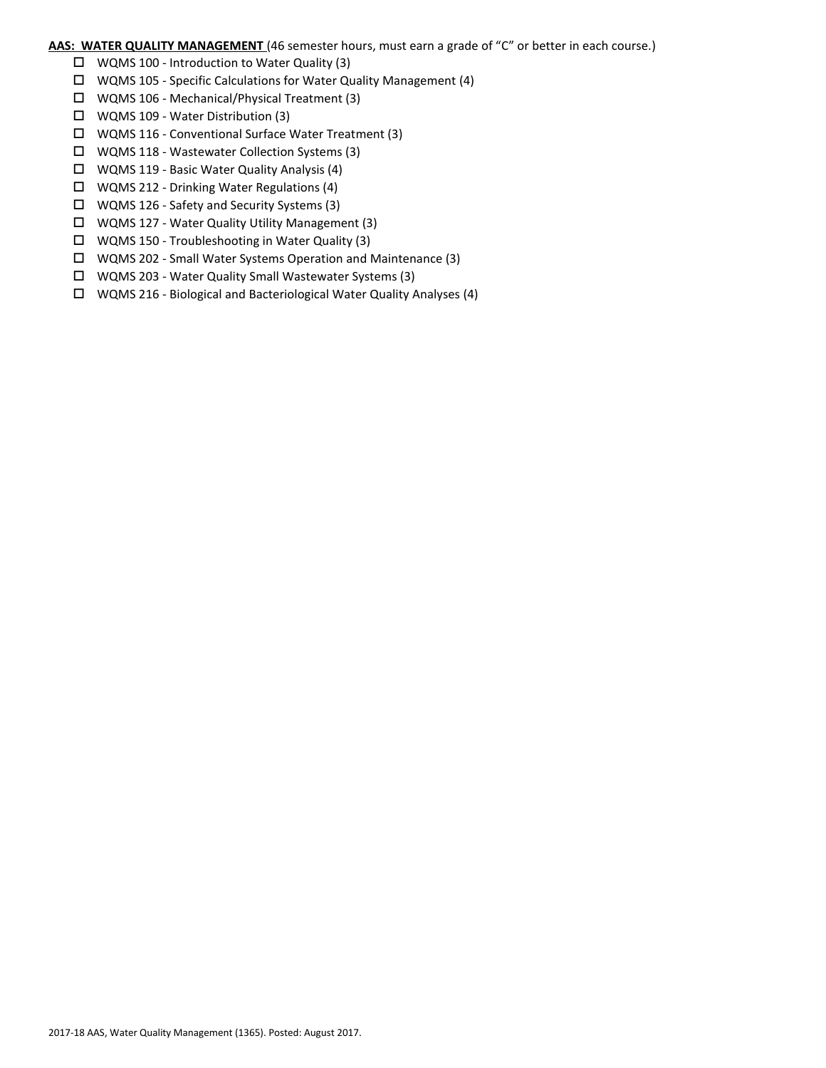# **AAS: WATER QUALITY MANAGEMENT** (46 semester hours, must earn a grade of "C" or better in each course.)

- $\Box$  WQMS 100 Introduction to Water Quality (3)
- $\Box$  WQMS 105 Specific Calculations for Water Quality Management (4)
- WQMS 106 Mechanical/Physical Treatment (3)
- WQMS 109 Water Distribution (3)
- WQMS 116 Conventional Surface Water Treatment (3)
- WQMS 118 Wastewater Collection Systems (3)
- WQMS 119 Basic Water Quality Analysis (4)
- $\Box$  WQMS 212 Drinking Water Regulations (4)
- WQMS 126 Safety and Security Systems (3)
- WQMS 127 Water Quality Utility Management (3)
- WQMS 150 Troubleshooting in Water Quality (3)
- WQMS 202 Small Water Systems Operation and Maintenance (3)
- WQMS 203 Water Quality Small Wastewater Systems (3)
- WQMS 216 Biological and Bacteriological Water Quality Analyses (4)